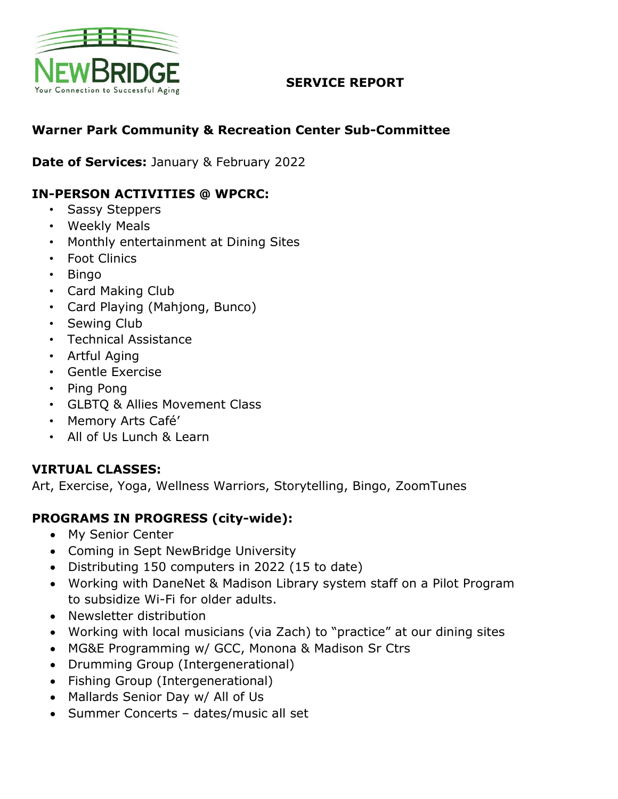

### **SERVICE REPORT**

# **Warner Park Community & Recreation Center Sub-Committee**

**Date of Services:** January & February 2022

## **IN-PERSON ACTIVITIES @ WPCRC:**

- Sassy Steppers
- Weekly Meals
- Monthly entertainment at Dining Sites
- Foot Clinics
- Bingo
- Card Making Club
- Card Playing (Mahjong, Bunco)
- Sewing Club
- Technical Assistance
- Artful Aging
- Gentle Exercise
- Ping Pong
- GLBTQ & Allies Movement Class
- Memory Arts Café'
- All of Us Lunch & Learn

#### **VIRTUAL CLASSES:**

Art, Exercise, Yoga, Wellness Warriors, Storytelling, Bingo, ZoomTunes

#### **PROGRAMS IN PROGRESS (city-wide):**

- My Senior Center
- Coming in Sept NewBridge University
- Distributing 150 computers in 2022 (15 to date)
- Working with DaneNet & Madison Library system staff on a Pilot Program to subsidize Wi-Fi for older adults.
- Newsletter distribution
- Working with local musicians (via Zach) to "practice" at our dining sites
- MG&E Programming w/ GCC, Monona & Madison Sr Ctrs
- Drumming Group (Intergenerational)
- Fishing Group (Intergenerational)
- Mallards Senior Day w/ All of Us
- Summer Concerts dates/music all set